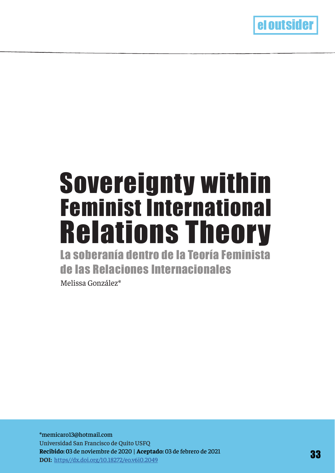

# Feminist International Sovereignty within Relations Theory

La soberanía dentro de la Teoría Feminista de las Relaciones Internacionales Melissa González\*

\*memicaro13@hotmail.com Universidad San Francisco de Quito USFQ **Recibido: 0**3 de noviembre de 2020 | **Aceptado:** 03 de febrero de 2021 **DOI:** https//dx.doi.org/10.18272/eo.v6i0.2049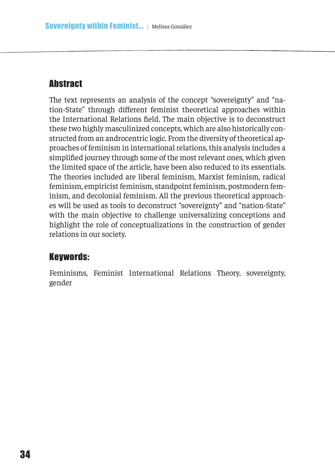## **Abstract**

The text represents an analysis of the concept "sovereignty" and "nation-State" through diferent feminist theoretical approaches within the International Relations feld. The main objective is to deconstruct these two highly masculinized concepts, which are also historically constructed from an androcentric logic. From the diversity of theoretical approaches of feminism in international relations, this analysis includes a simplifed journey through some of the most relevant ones, which given the limited space of the article, have been also reduced to its essentials. The theories included are liberal feminism, Marxist feminism, radical feminism, empiricist feminism, standpoint feminism, postmodern feminism, and decolonial feminism. All the previous theoretical approaches will be used as tools to deconstruct "sovereignty" and "nation-State" with the main objective to challenge universalizing conceptions and highlight the role of conceptualizations in the construction of gender relations in our society.

# Keywords:

Feminisms, Feminist International Relations Theory, sovereignty, gender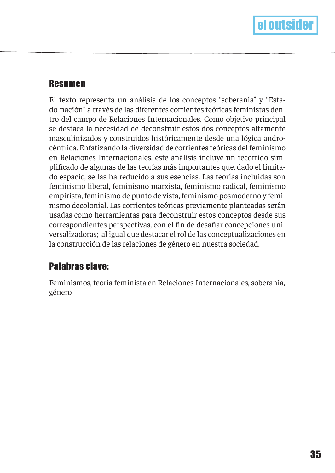#### Resumen

El texto representa un análisis de los conceptos "soberanía" y "Estado-nación" a través de las diferentes corrientes teóricas feministas dentro del campo de Relaciones Internacionales. Como objetivo principal se destaca la necesidad de deconstruir estos dos conceptos altamente masculinizados y construidos históricamente desde una lógica androcéntrica. Enfatizando la diversidad de corrientes teóricas del feminismo en Relaciones Internacionales, este análisis incluye un recorrido simplifcado de algunas de las teorías más importantes que, dado el limitado espacio, se las ha reducido a sus esencias. Las teorías incluidas son feminismo liberal, feminismo marxista, feminismo radical, feminismo empirista, feminismo de punto de vista, feminismo posmoderno y feminismo decolonial. Las corrientes teóricas previamente planteadas serán usadas como herramientas para deconstruir estos conceptos desde sus correspondientes perspectivas, con el fn de desafar concepciones universalizadoras; al igual que destacar el rol de las conceptualizaciones en la construcción de las relaciones de género en nuestra sociedad.

## Palabras clave:

Feminismos, teoría feminista en Relaciones Internacionales, soberanía, género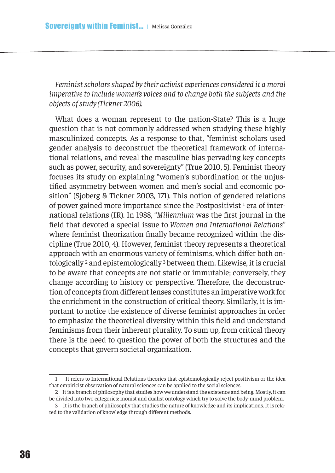*Feminist scholars shaped by their activist experiences considered it a moral imperative to include women's voices and to change both the subjects and the objects of study (Tickner 2006).*

What does a woman represent to the nation-State? This is a huge question that is not commonly addressed when studying these highly masculinized concepts. As a response to that, "feminist scholars used gender analysis to deconstruct the theoretical framework of international relations, and reveal the masculine bias pervading key concepts such as power, security, and sovereignty" (True 2010, 5). Feminist theory focuses its study on explaining "women's subordination or the unjustifed asymmetry between women and men's social and economic position" (Sjoberg & Tickner 2003, 171). This notion of gendered relations of power gained more importance since the Postpositivist<sup>1</sup> era of international relations (IR). In 1988, "*Millennium* was the frst journal in the feld that devoted a special issue to *Women and International Relations*" where feminist theorization fnally became recognized within the discipline (True 2010, 4). However, feminist theory represents a theoretical approach with an enormous variety of feminisms, which difer both ontologically 2 and epistemologically 3 between them. Likewise, it is crucial to be aware that concepts are not static or immutable; conversely, they change according to history or perspective. Therefore, the deconstruction of concepts from diferent lenses constitutes an imperative work for the enrichment in the construction of critical theory. Similarly, it is important to notice the existence of diverse feminist approaches in order to emphasize the theoretical diversity within this feld and understand feminisms from their inherent plurality. To sum up, from critical theory there is the need to question the power of both the structures and the concepts that govern societal organization.

<sup>1</sup> It refers to International Relations theories that epistemologically reject positivism or the idea that empiricist observation of natural sciences can be applied to the social sciences.

<sup>2</sup> It is a branch of philosophy that studies how we understand the existence and being. Mostly, it can be divided into two categories: monist and dualist ontology which try to solve the body-mind problem.

<sup>3</sup> It is the branch of philosophy that studies the nature of knowledge and its implications. It is related to the validation of knowledge through diferent methods.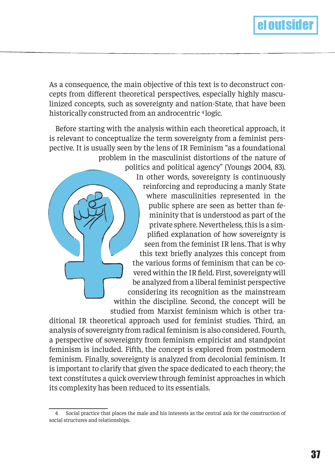

As a consequence, the main objective of this text is to deconstruct concepts from diferent theoretical perspectives, especially highly masculinized concepts, such as sovereignty and nation-State, that have been historically constructed from an androcentric <sup>4</sup> logic.

Before starting with the analysis within each theoretical approach, it is relevant to conceptualize the term sovereignty from a feminist perspective. It is usually seen by the lens of IR Feminism "as a foundational problem in the masculinist distortions of the nature of

politics and political agency" (Youngs 2004, 83). In other words, sovereignty is continuously reinforcing and reproducing a manly State where masculinities represented in the public sphere are seen as better than femininity that is understood as part of the private sphere. Nevertheless, this is a simplifed explanation of how sovereignty is seen from the feminist IR lens. That is why this text briefy analyzes this concept from the various forms of feminism that can be covered within the IR feld. First, sovereignty will be analyzed from a liberal feminist perspective considering its recognition as the mainstream within the discipline. Second, the concept will be studied from Marxist feminism which is other tra-

ditional IR theoretical approach used for feminist studies. Third, an analysis of sovereignty from radical feminism is also considered. Fourth, a perspective of sovereignty from feminism empiricist and standpoint feminism is included. Fifth, the concept is explored from postmodern feminism. Finally, sovereignty is analyzed from decolonial feminism. It is important to clarify that given the space dedicated to each theory; the text constitutes a quick overview through feminist approaches in which its complexity has been reduced to its essentials.

<sup>4</sup> Social practice that places the male and his interests as the central axis for the construction of social structures and relationships.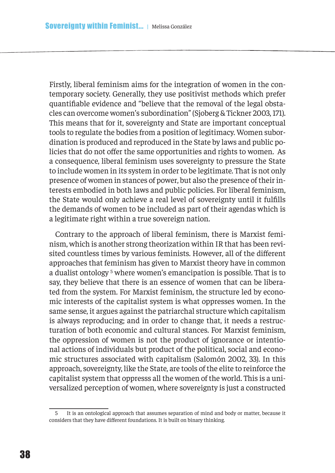Firstly, liberal feminism aims for the integration of women in the contemporary society. Generally, they use positivist methods which prefer quantifable evidence and "believe that the removal of the legal obstacles can overcome women's subordination" (Sjoberg & Tickner 2003, 171). This means that for it, sovereignty and State are important conceptual tools to regulate the bodies from a position of legitimacy. Women subordination is produced and reproduced in the State by laws and public policies that do not offer the same opportunities and rights to women. As a consequence, liberal feminism uses sovereignty to pressure the State to include women in its system in order to be legitimate. That is not only presence of women in stances of power, but also the presence of their interests embodied in both laws and public policies. For liberal feminism, the State would only achieve a real level of sovereignty until it fulflls the demands of women to be included as part of their agendas which is a legitimate right within a true sovereign nation.

Contrary to the approach of liberal feminism, there is Marxist feminism, which is another strong theorization within IR that has been revisited countless times by various feminists. However, all of the diferent approaches that feminism has given to Marxist theory have in common a dualist ontology 5 where women's emancipation is possible. That is to say, they believe that there is an essence of women that can be liberated from the system. For Marxist feminism, the structure led by economic interests of the capitalist system is what oppresses women. In the same sense, it argues against the patriarchal structure which capitalism is always reproducing; and in order to change that, it needs a restructuration of both economic and cultural stances. For Marxist feminism, the oppression of women is not the product of ignorance or intentional actions of individuals but product of the political, social and economic structures associated with capitalism (Salomón 2002, 33). In this approach, sovereignty, like the State, are tools of the elite to reinforce the capitalist system that oppresss all the women of the world. This is a universalized perception of women, where sovereignty is just a constructed

<sup>5</sup> It is an ontological approach that assumes separation of mind and body or matter, because it considers that they have diferent foundations. It is built on binary thinking.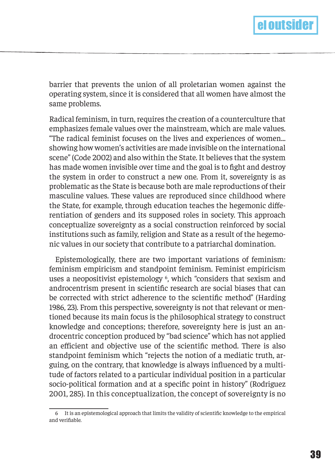

barrier that prevents the union of all proletarian women against the operating system, since it is considered that all women have almost the same problems.

Radical feminism, in turn, requires the creation of a counterculture that emphasizes female values over the mainstream, which are male values. "The radical feminist focuses on the lives and experiences of women... showing how women's activities are made invisible on the international scene" (Code 2002) and also within the State. It believes that the system has made women invisible over time and the goal is to fght and destroy the system in order to construct a new one. From it, sovereignty is as problematic as the State is because both are male reproductions of their masculine values. These values are reproduced since childhood where the State, for example, through education teaches the hegemonic diferentiation of genders and its supposed roles in society. This approach conceptualize sovereignty as a social construction reinforced by social institutions such as family, religion and State as a result of the hegemonic values in our society that contribute to a patriarchal domination.

Epistemologically, there are two important variations of feminism: feminism empiricism and standpoint feminism. Feminist empiricism uses a neopositivist epistemology <sup>6</sup>, which "considers that sexism and androcentrism present in scientifc research are social biases that can be corrected with strict adherence to the scientifc method" (Harding 1986, 23). From this perspective, sovereignty is not that relevant or mentioned because its main focus is the philosophical strategy to construct knowledge and conceptions; therefore, sovereignty here is just an androcentric conception produced by "bad science" which has not applied an eficient and objective use of the scientifc method. There is also standpoint feminism which "rejects the notion of a mediatic truth, arguing, on the contrary, that knowledge is always infuenced by a multitude of factors related to a particular individual position in a particular socio-political formation and at a specifc point in history" (Rodriguez 2001, 285). In this conceptualization, the concept of sovereignty is no

<sup>6</sup> It is an epistemological approach that limits the validity of scientifc knowledge to the empirical and verifable.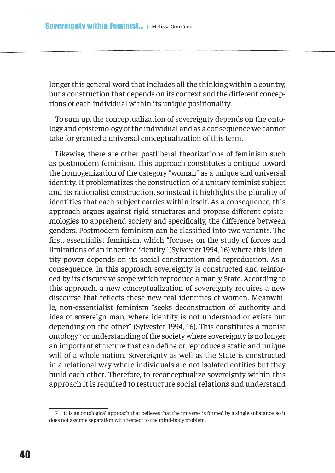longer this general word that includes all the thinking within a country, but a construction that depends on its context and the diferent conceptions of each individual within its unique positionality.

To sum up, the conceptualization of sovereignty depends on the ontology and epistemology of the individual and as a consequence we cannot take for granted a universal conceptualization of this term.

Likewise, there are other postliberal theorizations of feminism such as postmodern feminism. This approach constitutes a critique toward the homogenization of the category "woman" as a unique and universal identity. It problematizes the construction of a unitary feminist subject and its rationalist construction, so instead it highlights the plurality of identities that each subject carries within itself. As a consequence, this approach argues against rigid structures and propose diferent epistemologies to apprehend society and specifcally, the diference between genders. Postmodern feminism can be classifed into two variants. The frst, essentialist feminism, which "focuses on the study of forces and limitations of an inherited identity" (Sylvester 1994, 16) where this identity power depends on its social construction and reproduction. As a consequence, in this approach sovereignty is constructed and reinforced by its discursive scope which reproduce a manly State. According to this approach, a new conceptualization of sovereignty requires a new discourse that refects these new real identities of women. Meanwhile, non-essentialist feminism "seeks deconstruction of authority and idea of sovereign man, where identity is not understood or exists but depending on the other" (Sylvester 1994, 16). This constitutes a monist ontology 7 or understanding of the society where sovereignty is no longer an important structure that can defne or reproduce a static and unique will of a whole nation. Sovereignty as well as the State is constructed in a relational way where individuals are not isolated entities but they build each other. Therefore, to reconceptualize sovereignty within this approach it is required to restructure social relations and understand

<sup>7</sup> It is an ontological approach that believes that the universe is formed by a single substance, so it does not assume separation with respect to the mind-body problem.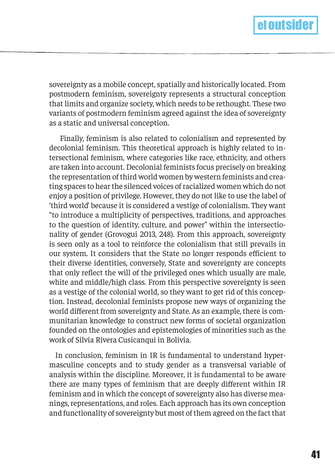

sovereignty as a mobile concept, spatially and historically located. From postmodern feminism, sovereignty represents a structural conception that limits and organize society, which needs to be rethought. These two variants of postmodern feminism agreed against the idea of sovereignty as a static and universal conception.

 Finally, feminism is also related to colonialism and represented by decolonial feminism. This theoretical approach is highly related to intersectional feminism, where categories like race, ethnicity, and others are taken into account. Decolonial feminists focus precisely on breaking the representation of third world women by western feminists and creating spaces to hear the silenced voices of racialized women which do not enjoy a position of privilege. However, they do not like to use the label of 'third world' because it is considered a vestige of colonialism. They want "to introduce a multiplicity of perspectives, traditions, and approaches to the question of identity, culture, and power" within the intersectionality of gender (Grovogui 2013, 248). From this approach, sovereignty is seen only as a tool to reinforce the colonialism that still prevails in our system. It considers that the State no longer responds eficient to their diverse identities, conversely, State and sovereignty are concepts that only refect the will of the privileged ones which usually are male, white and middle/high class. From this perspective sovereignty is seen as a vestige of the colonial world, so they want to get rid of this conception. Instead, decolonial feminists propose new ways of organizing the world diferent from sovereignty and State. As an example, there is communitarian knowledge to construct new forms of societal organization founded on the ontologies and epistemologies of minorities such as the work of Silvia Rivera Cusicanqui in Bolivia.

In conclusion, feminism in IR is fundamental to understand hypermasculine concepts and to study gender as a transversal variable of analysis within the discipline. Moreover, it is fundamental to be aware there are many types of feminism that are deeply diferent within IR feminism and in which the concept of sovereignty also has diverse meanings, representations, and roles. Each approach has its own conception and functionality of sovereignty but most of them agreed on the fact that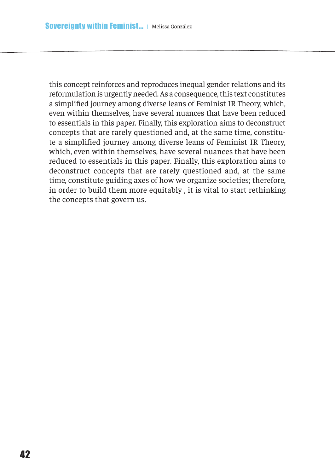this concept reinforces and reproduces inequal gender relations and its reformulation is urgently needed. As a consequence, this text constitutes a simplifed journey among diverse leans of Feminist IR Theory, which, even within themselves, have several nuances that have been reduced to essentials in this paper. Finally, this exploration aims to deconstruct concepts that are rarely questioned and, at the same time, constitute a simplified journey among diverse leans of Feminist IR Theory, which, even within themselves, have several nuances that have been reduced to essentials in this paper. Finally, this exploration aims to deconstruct concepts that are rarely questioned and, at the same time, constitute guiding axes of how we organize societies; therefore, in order to build them more equitably , it is vital to start rethinking the concepts that govern us.